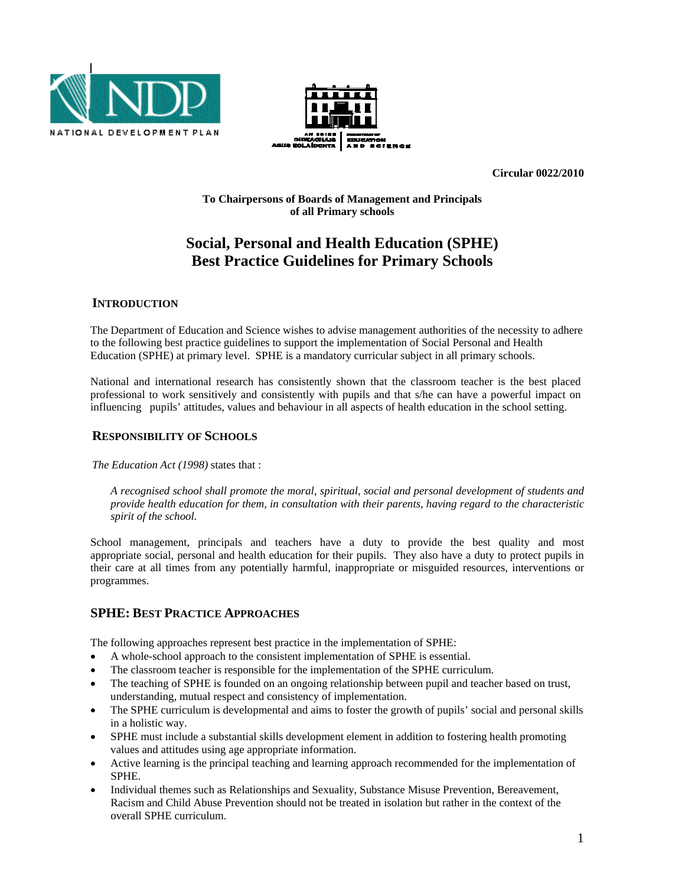



**Circular 0022/2010** 

**To Chairpersons of Boards of Management and Principals of all Primary schools** 

# **Social, Personal and Health Education (SPHE) Best Practice Guidelines for Primary Schools**

### **INTRODUCTION**

The Department of Education and Science wishes to advise management authorities of the necessity to adhere to the following best practice guidelines to support the implementation of Social Personal and Health Education (SPHE) at primary level. SPHE is a mandatory curricular subject in all primary schools.

National and international research has consistently shown that the classroom teacher is the best placed professional to work sensitively and consistently with pupils and that s/he can have a powerful impact on influencing pupils' attitudes, values and behaviour in all aspects of health education in the school setting.

# **RESPONSIBILITY OF SCHOOLS**

*The Education Act (1998)* states that :

*A recognised school shall promote the moral, spiritual, social and personal development of students and provide health education for them, in consultation with their parents, having regard to the characteristic spirit of the school.* 

School management, principals and teachers have a duty to provide the best quality and most appropriate social, personal and health education for their pupils. They also have a duty to protect pupils in their care at all times from any potentially harmful, inappropriate or misguided resources, interventions or programmes.

# **SPHE: BEST PRACTICE APPROACHES**

The following approaches represent best practice in the implementation of SPHE:

- A whole-school approach to the consistent implementation of SPHE is essential.
- The classroom teacher is responsible for the implementation of the SPHE curriculum.
- The teaching of SPHE is founded on an ongoing relationship between pupil and teacher based on trust, understanding, mutual respect and consistency of implementation.
- The SPHE curriculum is developmental and aims to foster the growth of pupils' social and personal skills in a holistic way.
- SPHE must include a substantial skills development element in addition to fostering health promoting values and attitudes using age appropriate information.
- Active learning is the principal teaching and learning approach recommended for the implementation of SPHE.
- Individual themes such as Relationships and Sexuality, Substance Misuse Prevention, Bereavement, Racism and Child Abuse Prevention should not be treated in isolation but rather in the context of the overall SPHE curriculum.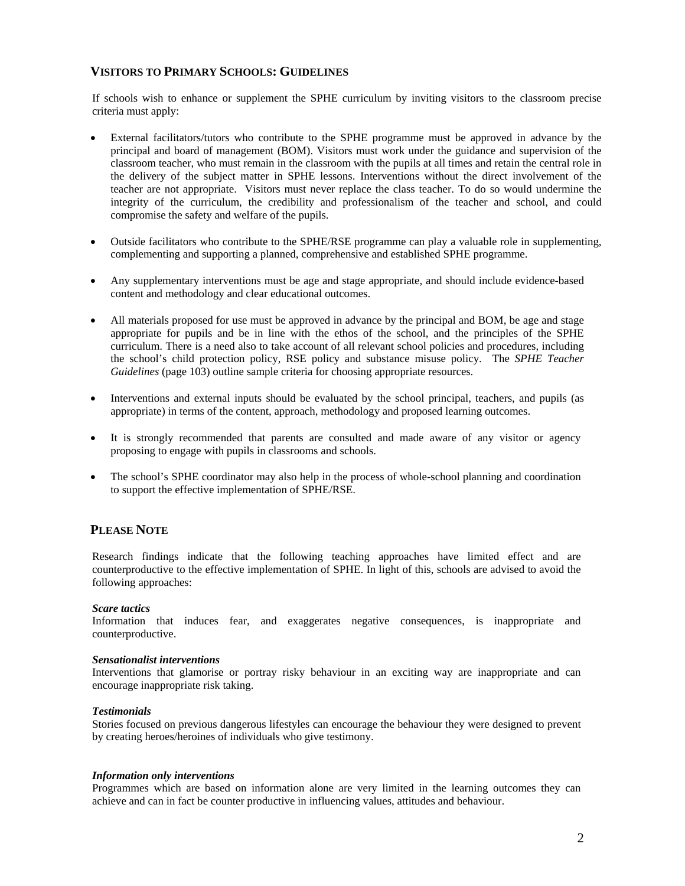### **VISITORS TO PRIMARY SCHOOLS: GUIDELINES**

If schools wish to enhance or supplement the SPHE curriculum by inviting visitors to the classroom precise criteria must apply:

- External facilitators/tutors who contribute to the SPHE programme must be approved in advance by the principal and board of management (BOM). Visitors must work under the guidance and supervision of the classroom teacher, who must remain in the classroom with the pupils at all times and retain the central role in the delivery of the subject matter in SPHE lessons. Interventions without the direct involvement of the teacher are not appropriate. Visitors must never replace the class teacher. To do so would undermine the integrity of the curriculum, the credibility and professionalism of the teacher and school, and could compromise the safety and welfare of the pupils.
- Outside facilitators who contribute to the SPHE/RSE programme can play a valuable role in supplementing, complementing and supporting a planned, comprehensive and established SPHE programme.
- Any supplementary interventions must be age and stage appropriate, and should include evidence-based content and methodology and clear educational outcomes.
- All materials proposed for use must be approved in advance by the principal and BOM, be age and stage appropriate for pupils and be in line with the ethos of the school, and the principles of the SPHE curriculum. There is a need also to take account of all relevant school policies and procedures, including the school's child protection policy, RSE policy and substance misuse policy. The *SPHE Teacher Guidelines* (page 103) outline sample criteria for choosing appropriate resources.
- Interventions and external inputs should be evaluated by the school principal, teachers, and pupils (as appropriate) in terms of the content, approach, methodology and proposed learning outcomes.
- It is strongly recommended that parents are consulted and made aware of any visitor or agency proposing to engage with pupils in classrooms and schools.
- The school's SPHE coordinator may also help in the process of whole-school planning and coordination to support the effective implementation of SPHE/RSE.

# **PLEASE NOTE**

Research findings indicate that the following teaching approaches have limited effect and are counterproductive to the effective implementation of SPHE. In light of this, schools are advised to avoid the following approaches:

#### *Scare tactics*

Information that induces fear, and exaggerates negative consequences, is inappropriate and counterproductive.

#### *Sensationalist interventions*

Interventions that glamorise or portray risky behaviour in an exciting way are inappropriate and can encourage inappropriate risk taking.

#### *Testimonials*

Stories focused on previous dangerous lifestyles can encourage the behaviour they were designed to prevent by creating heroes/heroines of individuals who give testimony.

#### *Information only interventions*

Programmes which are based on information alone are very limited in the learning outcomes they can achieve and can in fact be counter productive in influencing values, attitudes and behaviour.